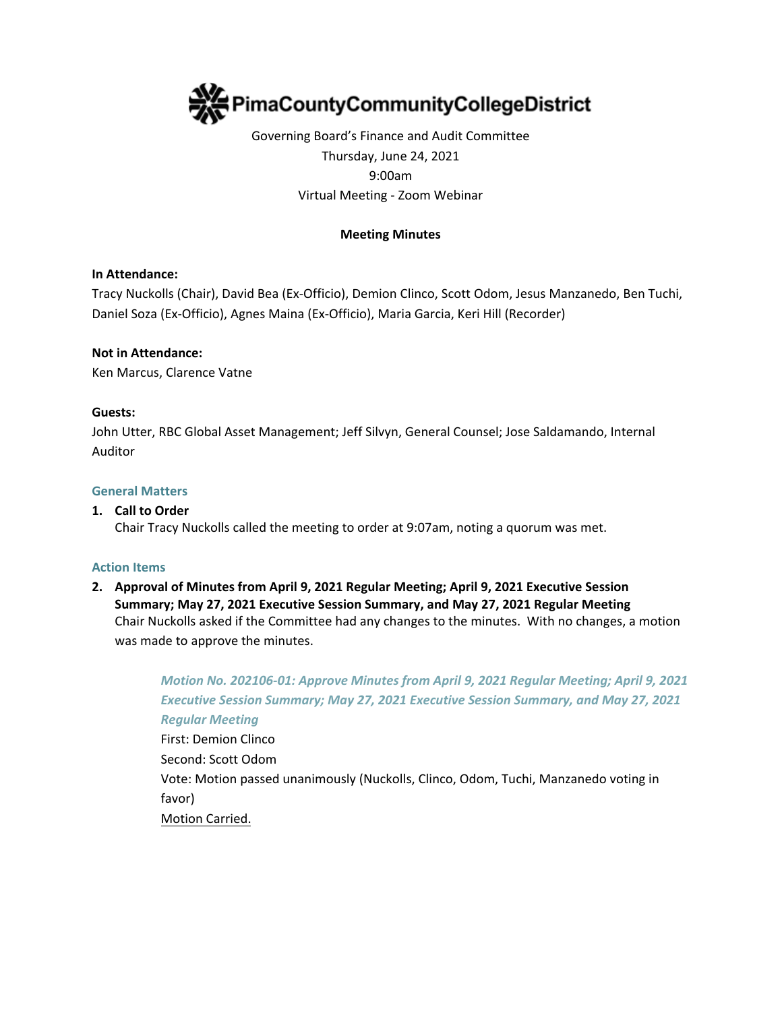

# Governing Board's Finance and Audit Committee Thursday, June 24, 2021 9:00am Virtual Meeting - Zoom Webinar

# **Meeting Minutes**

# **In Attendance:**

Tracy Nuckolls (Chair), David Bea (Ex-Officio), Demion Clinco, Scott Odom, Jesus Manzanedo, Ben Tuchi, Daniel Soza (Ex-Officio), Agnes Maina (Ex-Officio), Maria Garcia, Keri Hill (Recorder)

#### **Not in Attendance:**

Ken Marcus, Clarence Vatne

#### **Guests:**

John Utter, RBC Global Asset Management; Jeff Silvyn, General Counsel; Jose Saldamando, Internal Auditor

#### **General Matters**

### **1. Call to Order**

Chair Tracy Nuckolls called the meeting to order at 9:07am, noting a quorum was met.

#### **Action Items**

# **2. Approval of Minutes from April 9, 2021 Regular Meeting; April 9, 2021 Executive Session Summary; May 27, 2021 Executive Session Summary, and May 27, 2021 Regular Meeting** Chair Nuckolls asked if the Committee had any changes to the minutes. With no changes, a motion was made to approve the minutes.

*Motion No. 202106-01: Approve Minutes from April 9, 2021 Regular Meeting; April 9, 2021 Executive Session Summary; May 27, 2021 Executive Session Summary, and May 27, 2021 Regular Meeting*  First: Demion Clinco Second: Scott Odom Vote: Motion passed unanimously (Nuckolls, Clinco, Odom, Tuchi, Manzanedo voting in favor) Motion Carried.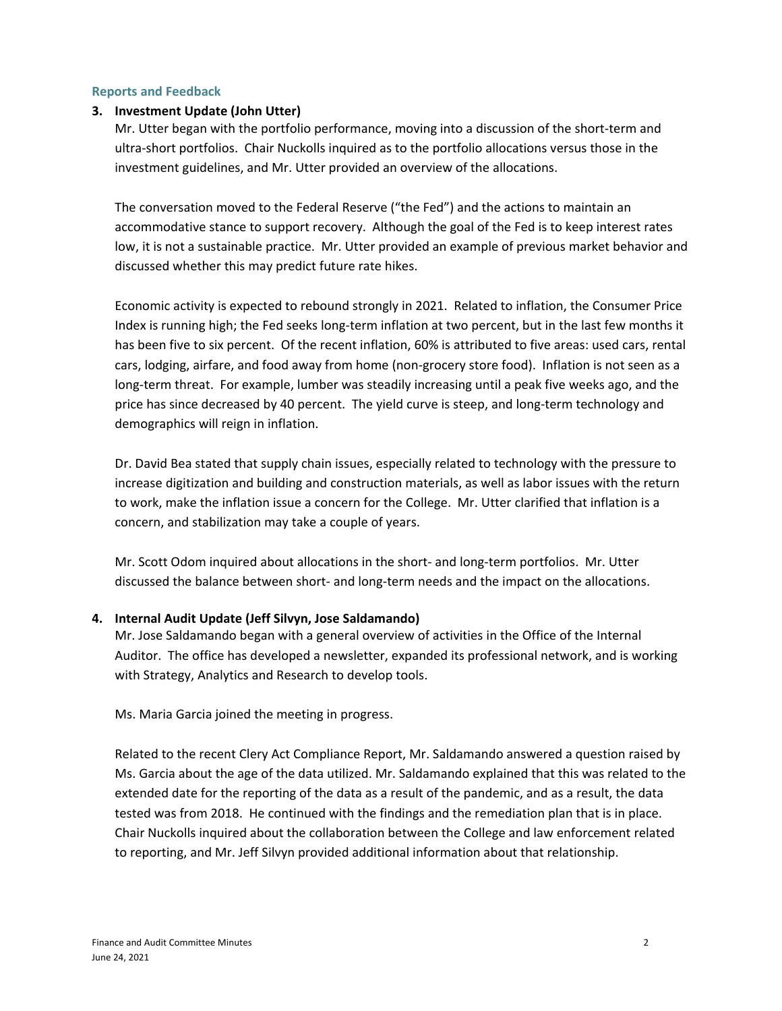#### **Reports and Feedback**

# **3. Investment Update (John Utter)**

Mr. Utter began with the portfolio performance, moving into a discussion of the short-term and ultra-short portfolios. Chair Nuckolls inquired as to the portfolio allocations versus those in the investment guidelines, and Mr. Utter provided an overview of the allocations.

The conversation moved to the Federal Reserve ("the Fed") and the actions to maintain an accommodative stance to support recovery. Although the goal of the Fed is to keep interest rates low, it is not a sustainable practice. Mr. Utter provided an example of previous market behavior and discussed whether this may predict future rate hikes.

Economic activity is expected to rebound strongly in 2021. Related to inflation, the Consumer Price Index is running high; the Fed seeks long-term inflation at two percent, but in the last few months it has been five to six percent. Of the recent inflation, 60% is attributed to five areas: used cars, rental cars, lodging, airfare, and food away from home (non-grocery store food). Inflation is not seen as a long-term threat. For example, lumber was steadily increasing until a peak five weeks ago, and the price has since decreased by 40 percent. The yield curve is steep, and long-term technology and demographics will reign in inflation.

Dr. David Bea stated that supply chain issues, especially related to technology with the pressure to increase digitization and building and construction materials, as well as labor issues with the return to work, make the inflation issue a concern for the College. Mr. Utter clarified that inflation is a concern, and stabilization may take a couple of years.

Mr. Scott Odom inquired about allocations in the short- and long-term portfolios. Mr. Utter discussed the balance between short- and long-term needs and the impact on the allocations.

# **4. Internal Audit Update (Jeff Silvyn, Jose Saldamando)**

Mr. Jose Saldamando began with a general overview of activities in the Office of the Internal Auditor. The office has developed a newsletter, expanded its professional network, and is working with Strategy, Analytics and Research to develop tools.

Ms. Maria Garcia joined the meeting in progress.

Related to the recent Clery Act Compliance Report, Mr. Saldamando answered a question raised by Ms. Garcia about the age of the data utilized. Mr. Saldamando explained that this was related to the extended date for the reporting of the data as a result of the pandemic, and as a result, the data tested was from 2018. He continued with the findings and the remediation plan that is in place. Chair Nuckolls inquired about the collaboration between the College and law enforcement related to reporting, and Mr. Jeff Silvyn provided additional information about that relationship.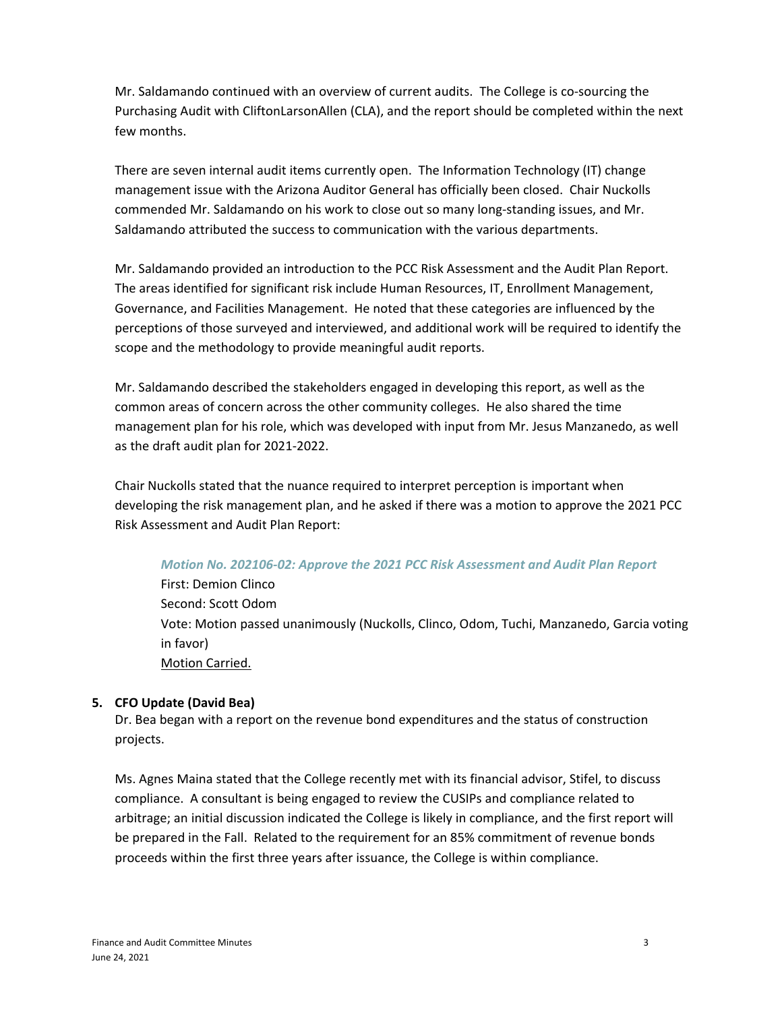Mr. Saldamando continued with an overview of current audits. The College is co-sourcing the Purchasing Audit with CliftonLarsonAllen (CLA), and the report should be completed within the next few months.

There are seven internal audit items currently open. The Information Technology (IT) change management issue with the Arizona Auditor General has officially been closed. Chair Nuckolls commended Mr. Saldamando on his work to close out so many long-standing issues, and Mr. Saldamando attributed the success to communication with the various departments.

Mr. Saldamando provided an introduction to the PCC Risk Assessment and the Audit Plan Report. The areas identified for significant risk include Human Resources, IT, Enrollment Management, Governance, and Facilities Management. He noted that these categories are influenced by the perceptions of those surveyed and interviewed, and additional work will be required to identify the scope and the methodology to provide meaningful audit reports.

Mr. Saldamando described the stakeholders engaged in developing this report, as well as the common areas of concern across the other community colleges. He also shared the time management plan for his role, which was developed with input from Mr. Jesus Manzanedo, as well as the draft audit plan for 2021-2022.

Chair Nuckolls stated that the nuance required to interpret perception is important when developing the risk management plan, and he asked if there was a motion to approve the 2021 PCC Risk Assessment and Audit Plan Report:

# *Motion No. 202106-02: Approve the 2021 PCC Risk Assessment and Audit Plan Report*

First: Demion Clinco Second: Scott Odom Vote: Motion passed unanimously (Nuckolls, Clinco, Odom, Tuchi, Manzanedo, Garcia voting in favor) Motion Carried.

# **5. CFO Update (David Bea)**

Dr. Bea began with a report on the revenue bond expenditures and the status of construction projects.

Ms. Agnes Maina stated that the College recently met with its financial advisor, Stifel, to discuss compliance. A consultant is being engaged to review the CUSIPs and compliance related to arbitrage; an initial discussion indicated the College is likely in compliance, and the first report will be prepared in the Fall. Related to the requirement for an 85% commitment of revenue bonds proceeds within the first three years after issuance, the College is within compliance.